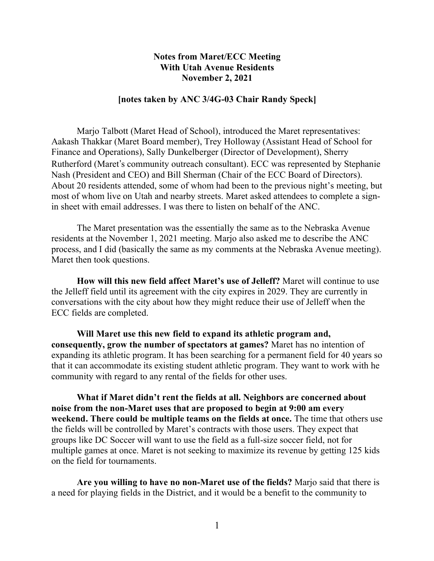## **Notes from Maret/ECC Meeting With Utah Avenue Residents November 2, 2021**

#### **[notes taken by ANC 3/4G-03 Chair Randy Speck]**

Marjo Talbott (Maret Head of School), introduced the Maret representatives: Aakash Thakkar (Maret Board member), Trey Holloway (Assistant Head of School for Finance and Operations), Sally Dunkelberger (Director of Development), Sherry Rutherford (Maret's community outreach consultant). ECC was represented by Stephanie Nash (President and CEO) and Bill Sherman (Chair of the ECC Board of Directors). About 20 residents attended, some of whom had been to the previous night's meeting, but most of whom live on Utah and nearby streets. Maret asked attendees to complete a signin sheet with email addresses. I was there to listen on behalf of the ANC.

The Maret presentation was the essentially the same as to the Nebraska Avenue residents at the November 1, 2021 meeting. Marjo also asked me to describe the ANC process, and I did (basically the same as my comments at the Nebraska Avenue meeting). Maret then took questions.

**How will this new field affect Maret's use of Jelleff?** Maret will continue to use the Jelleff field until its agreement with the city expires in 2029. They are currently in conversations with the city about how they might reduce their use of Jelleff when the ECC fields are completed.

**Will Maret use this new field to expand its athletic program and, consequently, grow the number of spectators at games?** Maret has no intention of expanding its athletic program. It has been searching for a permanent field for 40 years so that it can accommodate its existing student athletic program. They want to work with he community with regard to any rental of the fields for other uses.

**What if Maret didn't rent the fields at all. Neighbors are concerned about noise from the non-Maret uses that are proposed to begin at 9:00 am every weekend. There could be multiple teams on the fields at once.** The time that others use the fields will be controlled by Maret's contracts with those users. They expect that groups like DC Soccer will want to use the field as a full-size soccer field, not for multiple games at once. Maret is not seeking to maximize its revenue by getting 125 kids on the field for tournaments.

**Are you willing to have no non-Maret use of the fields?** Marjo said that there is a need for playing fields in the District, and it would be a benefit to the community to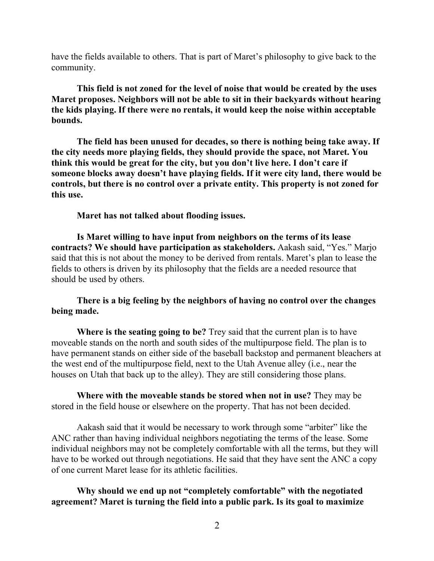have the fields available to others. That is part of Maret's philosophy to give back to the community.

**This field is not zoned for the level of noise that would be created by the uses Maret proposes. Neighbors will not be able to sit in their backyards without hearing the kids playing. If there were no rentals, it would keep the noise within acceptable bounds.**

**The field has been unused for decades, so there is nothing being take away. If the city needs more playing fields, they should provide the space, not Maret. You think this would be great for the city, but you don't live here. I don't care if someone blocks away doesn't have playing fields. If it were city land, there would be controls, but there is no control over a private entity. This property is not zoned for this use.**

**Maret has not talked about flooding issues.**

**Is Maret willing to have input from neighbors on the terms of its lease contracts? We should have participation as stakeholders.** Aakash said, "Yes." Marjo said that this is not about the money to be derived from rentals. Maret's plan to lease the fields to others is driven by its philosophy that the fields are a needed resource that should be used by others.

### **There is a big feeling by the neighbors of having no control over the changes being made.**

**Where is the seating going to be?** Trey said that the current plan is to have moveable stands on the north and south sides of the multipurpose field. The plan is to have permanent stands on either side of the baseball backstop and permanent bleachers at the west end of the multipurpose field, next to the Utah Avenue alley (i.e., near the houses on Utah that back up to the alley). They are still considering those plans.

**Where with the moveable stands be stored when not in use?** They may be stored in the field house or elsewhere on the property. That has not been decided.

Aakash said that it would be necessary to work through some "arbiter" like the ANC rather than having individual neighbors negotiating the terms of the lease. Some individual neighbors may not be completely comfortable with all the terms, but they will have to be worked out through negotiations. He said that they have sent the ANC a copy of one current Maret lease for its athletic facilities.

# **Why should we end up not "completely comfortable" with the negotiated agreement? Maret is turning the field into a public park. Is its goal to maximize**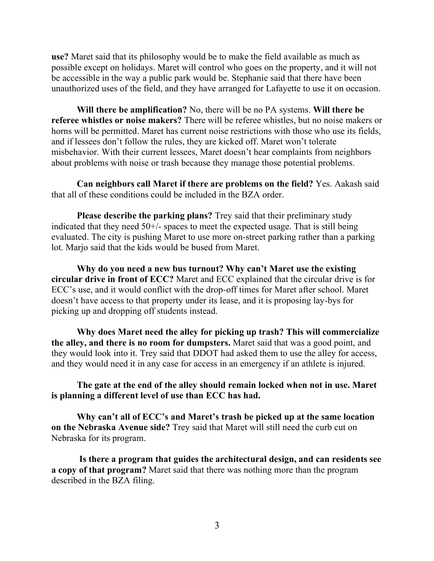**use?** Maret said that its philosophy would be to make the field available as much as possible except on holidays. Maret will control who goes on the property, and it will not be accessible in the way a public park would be. Stephanie said that there have been unauthorized uses of the field, and they have arranged for Lafayette to use it on occasion.

**Will there be amplification?** No, there will be no PA systems. **Will there be referee whistles or noise makers?** There will be referee whistles, but no noise makers or horns will be permitted. Maret has current noise restrictions with those who use its fields, and if lessees don't follow the rules, they are kicked off. Maret won't tolerate misbehavior. With their current lessees, Maret doesn't hear complaints from neighbors about problems with noise or trash because they manage those potential problems.

**Can neighbors call Maret if there are problems on the field?** Yes. Aakash said that all of these conditions could be included in the BZA order.

**Please describe the parking plans?** Trey said that their preliminary study indicated that they need  $50^{+/-}$  spaces to meet the expected usage. That is still being evaluated. The city is pushing Maret to use more on-street parking rather than a parking lot. Marjo said that the kids would be bused from Maret.

**Why do you need a new bus turnout? Why can't Maret use the existing circular drive in front of ECC?** Maret and ECC explained that the circular drive is for ECC's use, and it would conflict with the drop-off times for Maret after school. Maret doesn't have access to that property under its lease, and it is proposing lay-bys for picking up and dropping off students instead.

**Why does Maret need the alley for picking up trash? This will commercialize the alley, and there is no room for dumpsters.** Maret said that was a good point, and they would look into it. Trey said that DDOT had asked them to use the alley for access, and they would need it in any case for access in an emergency if an athlete is injured.

### **The gate at the end of the alley should remain locked when not in use. Maret is planning a different level of use than ECC has had.**

**Why can't all of ECC's and Maret's trash be picked up at the same location on the Nebraska Avenue side?** Trey said that Maret will still need the curb cut on Nebraska for its program.

**Is there a program that guides the architectural design, and can residents see a copy of that program?** Maret said that there was nothing more than the program described in the BZA filing.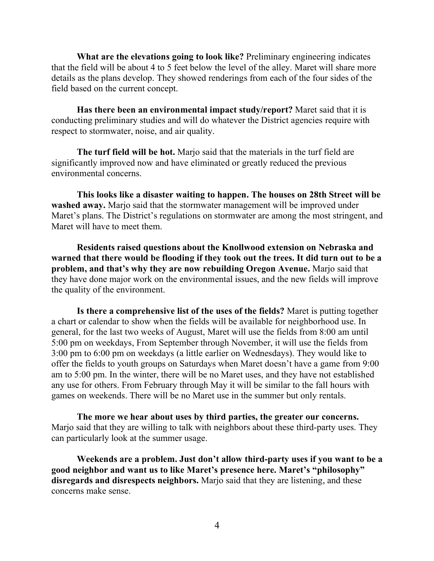**What are the elevations going to look like?** Preliminary engineering indicates that the field will be about 4 to 5 feet below the level of the alley. Maret will share more details as the plans develop. They showed renderings from each of the four sides of the field based on the current concept.

**Has there been an environmental impact study/report?** Maret said that it is conducting preliminary studies and will do whatever the District agencies require with respect to stormwater, noise, and air quality.

**The turf field will be hot.** Marjo said that the materials in the turf field are significantly improved now and have eliminated or greatly reduced the previous environmental concerns.

**This looks like a disaster waiting to happen. The houses on 28th Street will be washed away.** Marjo said that the stormwater management will be improved under Maret's plans. The District's regulations on stormwater are among the most stringent, and Maret will have to meet them.

**Residents raised questions about the Knollwood extension on Nebraska and warned that there would be flooding if they took out the trees. It did turn out to be a problem, and that's why they are now rebuilding Oregon Avenue.** Marjo said that they have done major work on the environmental issues, and the new fields will improve the quality of the environment.

**Is there a comprehensive list of the uses of the fields?** Maret is putting together a chart or calendar to show when the fields will be available for neighborhood use. In general, for the last two weeks of August, Maret will use the fields from 8:00 am until 5:00 pm on weekdays, From September through November, it will use the fields from 3:00 pm to 6:00 pm on weekdays (a little earlier on Wednesdays). They would like to offer the fields to youth groups on Saturdays when Maret doesn't have a game from 9:00 am to 5:00 pm. In the winter, there will be no Maret uses, and they have not established any use for others. From February through May it will be similar to the fall hours with games on weekends. There will be no Maret use in the summer but only rentals.

**The more we hear about uses by third parties, the greater our concerns.** Marjo said that they are willing to talk with neighbors about these third-party uses. They can particularly look at the summer usage.

**Weekends are a problem. Just don't allow third-party uses if you want to be a good neighbor and want us to like Maret's presence here. Maret's "philosophy" disregards and disrespects neighbors.** Marjo said that they are listening, and these concerns make sense.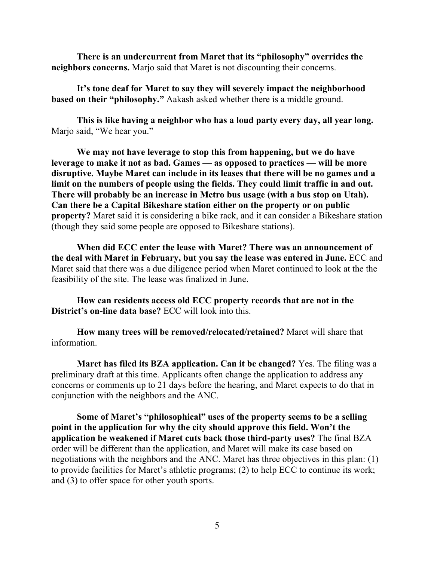**There is an undercurrent from Maret that its "philosophy" overrides the neighbors concerns.** Marjo said that Maret is not discounting their concerns.

**It's tone deaf for Maret to say they will severely impact the neighborhood based on their "philosophy."** Aakash asked whether there is a middle ground.

**This is like having a neighbor who has a loud party every day, all year long.** Marjo said, "We hear you."

**We may not have leverage to stop this from happening, but we do have leverage to make it not as bad. Games — as opposed to practices — will be more disruptive. Maybe Maret can include in its leases that there will be no games and a limit on the numbers of people using the fields. They could limit traffic in and out. There will probably be an increase in Metro bus usage (with a bus stop on Utah). Can there be a Capital Bikeshare station either on the property or on public property?** Maret said it is considering a bike rack, and it can consider a Bikeshare station (though they said some people are opposed to Bikeshare stations).

**When did ECC enter the lease with Maret? There was an announcement of the deal with Maret in February, but you say the lease was entered in June.** ECC and Maret said that there was a due diligence period when Maret continued to look at the the feasibility of the site. The lease was finalized in June.

**How can residents access old ECC property records that are not in the District's on-line data base?** ECC will look into this.

**How many trees will be removed/relocated/retained?** Maret will share that information.

**Maret has filed its BZA application. Can it be changed?** Yes. The filing was a preliminary draft at this time. Applicants often change the application to address any concerns or comments up to 21 days before the hearing, and Maret expects to do that in conjunction with the neighbors and the ANC.

**Some of Maret's "philosophical" uses of the property seems to be a selling point in the application for why the city should approve this field. Won't the application be weakened if Maret cuts back those third-party uses?** The final BZA order will be different than the application, and Maret will make its case based on negotiations with the neighbors and the ANC. Maret has three objectives in this plan: (1) to provide facilities for Maret's athletic programs; (2) to help ECC to continue its work; and (3) to offer space for other youth sports.